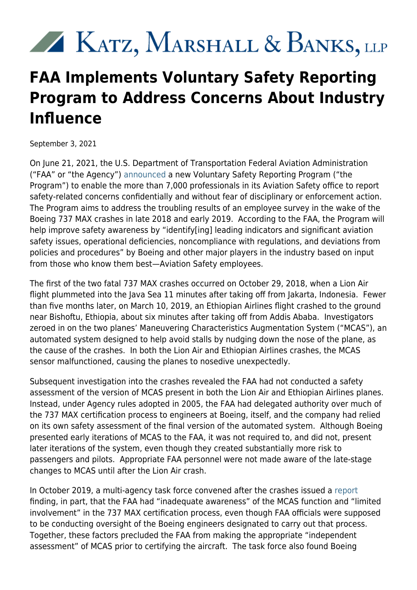## XX KATZ, MARSHALL & BANKS, LLP

## **FAA Implements Voluntary Safety Reporting Program to Address Concerns About Industry Influence**

September 3, 2021

On June 21, 2021, the U.S. Department of Transportation Federal Aviation Administration ("FAA" or "the Agency") [announced](https://www.faa.gov/news/press_releases/news_story.cfm?newsId=26241) a new Voluntary Safety Reporting Program ("the Program") to enable the more than 7,000 professionals in its Aviation Safety office to report safety-related concerns confidentially and without fear of disciplinary or enforcement action. The Program aims to address the troubling results of an employee survey in the wake of the Boeing 737 MAX crashes in late 2018 and early 2019. According to the FAA, the Program will help improve safety awareness by "identify[ing] leading indicators and significant aviation safety issues, operational deficiencies, noncompliance with regulations, and deviations from policies and procedures" by Boeing and other major players in the industry based on input from those who know them best—Aviation Safety employees.

The first of the two fatal 737 MAX crashes occurred on October 29, 2018, when a Lion Air flight plummeted into the Java Sea 11 minutes after taking off from Jakarta, Indonesia. Fewer than five months later, on March 10, 2019, an Ethiopian Airlines flight crashed to the ground near Bishoftu, Ethiopia, about six minutes after taking off from Addis Ababa. Investigators zeroed in on the two planes' Maneuvering Characteristics Augmentation System ("MCAS"), an automated system designed to help avoid stalls by nudging down the nose of the plane, as the cause of the crashes. In both the Lion Air and Ethiopian Airlines crashes, the MCAS sensor malfunctioned, causing the planes to nosedive unexpectedly.

Subsequent investigation into the crashes revealed the FAA had not conducted a safety assessment of the version of MCAS present in both the Lion Air and Ethiopian Airlines planes. Instead, under Agency rules adopted in 2005, the FAA had delegated authority over much of the 737 MAX certification process to engineers at Boeing, itself, and the company had relied on its own safety assessment of the final version of the automated system. Although Boeing presented early iterations of MCAS to the FAA, it was not required to, and did not, present later iterations of the system, even though they created substantially more risk to passengers and pilots. Appropriate FAA personnel were not made aware of the late-stage changes to MCAS until after the Lion Air crash.

In October 2019, a multi-agency task force convened after the crashes issued a [report](https://www.faa.gov/news/media/attachments/Final_JATR_Submittal_to_FAA_Oct_2019.pdf) finding, in part, that the FAA had "inadequate awareness" of the MCAS function and "limited involvement" in the 737 MAX certification process, even though FAA officials were supposed to be conducting oversight of the Boeing engineers designated to carry out that process. Together, these factors precluded the FAA from making the appropriate "independent assessment" of MCAS prior to certifying the aircraft. The task force also found Boeing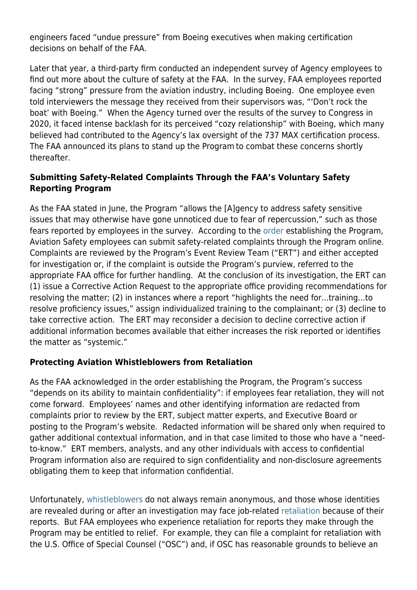engineers faced "undue pressure" from Boeing executives when making certification decisions on behalf of the FAA.

Later that year, a third-party firm conducted an independent survey of Agency employees to find out more about the culture of safety at the FAA. In the survey, FAA employees reported facing "strong" pressure from the aviation industry, including Boeing. One employee even told interviewers the message they received from their supervisors was, "'Don't rock the boat' with Boeing." When the Agency turned over the results of the survey to Congress in 2020, it faced intense backlash for its perceived "cozy relationship" with Boeing, which many believed had contributed to the Agency's lax oversight of the 737 MAX certification process. The FAA announced its plans to stand up the Program to combat these concerns shortly thereafter.

## **Submitting Safety-Related Complaints Through the FAA's Voluntary Safety Reporting Program**

As the FAA stated in June, the Program "allows the [A]gency to address safety sensitive issues that may otherwise have gone unnoticed due to fear of repercussion," such as those fears reported by employees in the survey. According to the [order](https://www.faa.gov/documentLibrary/media/Order/VS_8000.375.pdf) establishing the Program, Aviation Safety employees can submit safety-related complaints through the Program online. Complaints are reviewed by the Program's Event Review Team ("ERT") and either accepted for investigation or, if the complaint is outside the Program's purview, referred to the appropriate FAA office for further handling. At the conclusion of its investigation, the ERT can (1) issue a Corrective Action Request to the appropriate office providing recommendations for resolving the matter; (2) in instances where a report "highlights the need for...training...to resolve proficiency issues," assign individualized training to the complainant; or (3) decline to take corrective action. The ERT may reconsider a decision to decline corrective action if additional information becomes available that either increases the risk reported or identifies the matter as "systemic."

## **Protecting Aviation Whistleblowers from Retaliation**

As the FAA acknowledged in the order establishing the Program, the Program's success "depends on its ability to maintain confidentiality": if employees fear retaliation, they will not come forward. Employees' names and other identifying information are redacted from complaints prior to review by the ERT, subject matter experts, and Executive Board or posting to the Program's website. Redacted information will be shared only when required to gather additional contextual information, and in that case limited to those who have a "needto-know." ERT members, analysts, and any other individuals with access to confidential Program information also are required to sign confidentiality and non-disclosure agreements obligating them to keep that information confidential.

Unfortunately, [whistleblowers](https://www.kmblegal.com/resources/aviation) do not always remain anonymous, and those whose identities are revealed during or after an investigation may face job-related [retaliation](https://www.kmblegal.com/resources/whistleblower-retaliation) because of their reports. But FAA employees who experience retaliation for reports they make through the Program may be entitled to relief. For example, they can file a complaint for retaliation with the U.S. Office of Special Counsel ("OSC") and, if OSC has reasonable grounds to believe an